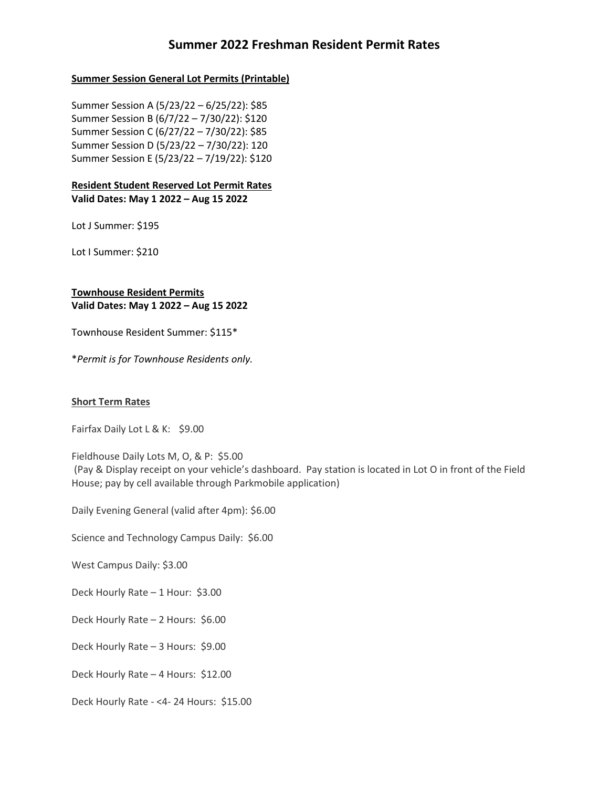# **Summer 2022 Freshman Resident Permit Rates**

#### **Summer Session General Lot Permits (Printable)**

Summer Session A (5/23/22 – 6/25/22): \$85 Summer Session B (6/7/22 – 7/30/22): \$120 Summer Session C (6/27/22 – 7/30/22): \$85 Summer Session D (5/23/22 – 7/30/22): 120 Summer Session E (5/23/22 – 7/19/22): \$120

#### **Resident Student Reserved Lot Permit Rates Valid Dates: May 1 2022 – Aug 15 2022**

Lot J Summer: \$195

Lot I Summer: \$210

## **Townhouse Resident Permits Valid Dates: May 1 2022 – Aug 15 2022**

Townhouse Resident Summer: \$115\*

\**Permit is for Townhouse Residents only.*

### **Short Term Rates**

Fairfax Daily Lot L & K: \$9.00

Fieldhouse Daily Lots M, O, & P: \$5.00 (Pay & Display receipt on your vehicle's dashboard. Pay station is located in Lot O in front of the Field House; pay by cell available through Parkmobile application)

Daily Evening General (valid after 4pm): \$6.00

Science and Technology Campus Daily: \$6.00

West Campus Daily: \$3.00

Deck Hourly Rate – 1 Hour: \$3.00

Deck Hourly Rate – 2 Hours: \$6.00

Deck Hourly Rate – 3 Hours: \$9.00

Deck Hourly Rate – 4 Hours: \$12.00

Deck Hourly Rate - <4- 24 Hours: \$15.00